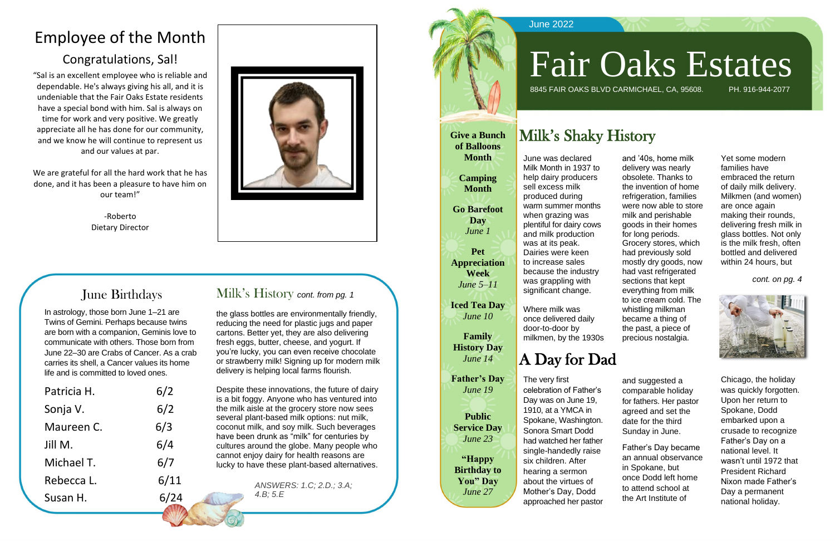# Employee of the Month

#### Congratulations, Sal!

"Sal is an excellent employee who is reliable and dependable. He's always giving his all, and it is undeniable that the Fair Oaks Estate residents have a special bond with him. Sal is always on time for work and very positive. We greatly appreciate all he has done for our community, and we know he will continue to represent us and our values at par.

We are grateful for all the hard work that he has done, and it has been a pleasure to have him on our team!"

> -Roberto Dietary Director



and suggested a comparable holiday for fathers. Her pastor agreed and set the date for the third Sunday in June.

Father's Day became an annual observance in Spokane, but once Dodd left home to attend school at the Art Institute of

Chicago, the holiday was quickly forgotten. Upon her return to Spokane, Dodd embarked upon a crusade to recognize Father's Day on a national level. It wasn't until 1972 that President Richard Nixon made Father's Day a permanent national holiday.

#### June Birthdays

In astrology, those born June 1–21 are Twins of Gemini. Perhaps because twins are born with a companion, Geminis love to communicate with others. Those born from June 22–30 are Crabs of Cancer. As a crab carries its shell, a Cancer values its home life and is committed to loved ones.

| Patricia H. | 6/2  |
|-------------|------|
| Sonja V.    | 6/2  |
| Maureen C.  | 6/3  |
| Jill M.     | 6/4  |
| Michael T.  | 6/7  |
| Rebecca L.  | 6/11 |
| Susan H.    | 6/24 |

#### Milk's History *cont. from pg. 1*

the glass bottles are environmentally friendly, reducing the need for plastic jugs and paper cartons. Better yet, they are also delivering fresh eggs, butter, cheese, and yogurt. If you're lucky, you can even receive chocolate or strawberry milk! Signing up for modern milk delivery is helping local farms flourish.



Despite these innovations, the future of dairy is a bit foggy. Anyone who has ventured into the milk aisle at the grocery store now sees several plant-based milk options: nut milk, coconut milk, and soy milk. Such beverages have been drunk as "milk" for centuries by cultures around the globe. Many people who cannot enjoy dairy for health reasons are lucky to have these plant-based alternatives.

and '40s, home milk delivery was nearly obsolete. Thanks to the invention of home refrigeration, families were now able to store milk and perishable goods in their homes for long periods. Grocery stores, which had previously sold mostly dry goods, now had vast refrigerated sections that kept everything from milk to ice cream cold. The whistling milkman became a thing of the past, a piece of precious nostalgia.

Yet some modern families have embraced the return of daily milk delivery. Milkmen (and women) are once again making their rounds, delivering fresh milk in glass bottles. Not only is the milk fresh, often bottled and delivered within 24 hours, but

*cont. on pg. 4*



# Fair Oaks Estates 8845 FAIR OAKS BLVD CARMICHAEL, CA, 95608. PH. 916-944-2077

*ANSWERS: 1.C; 2.D.; 3.A; 4.B; 5.E*